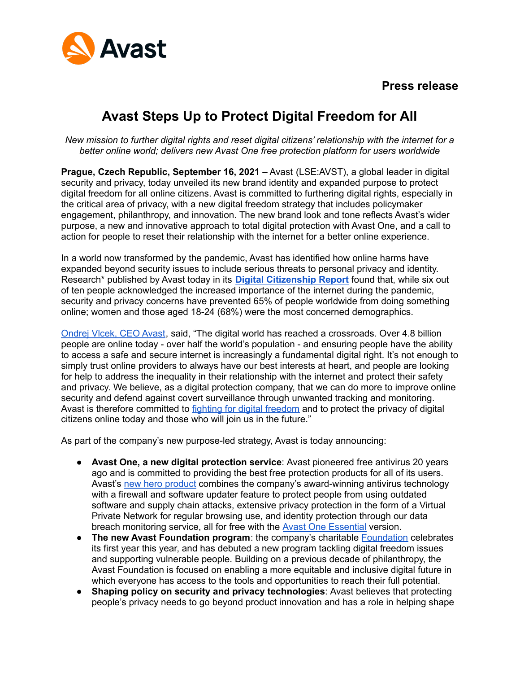



# **Avast Steps Up to Protect Digital Freedom for All**

*New mission to further digital rights and reset digital citizens' relationship with the internet for a better online world; delivers new Avast One free protection platform for users worldwide*

**Prague, Czech Republic, September 16, 2021** – Avast (LSE:AVST), a global leader in digital security and privacy, today unveiled its new brand identity and expanded purpose to protect digital freedom for all online citizens. Avast is committed to furthering digital rights, especially in the critical area of privacy, with a new digital freedom strategy that includes policymaker engagement, philanthropy, and innovation. The new brand look and tone reflects Avast's wider purpose, a new and innovative approach to total digital protection with Avast One, and a call to action for people to reset their relationship with the internet for a better online experience.

In a world now transformed by the pandemic, Avast has identified how online harms have expanded beyond security issues to include serious threats to personal privacy and identity. Research\* published by Avast today in its **Digital [Citizenship](https://press.avast.com/post-pandemic-online-behavior) Report** found that, while six out of ten people acknowledged the increased importance of the internet during the pandemic, security and privacy concerns have prevented 65% of people worldwide from doing something online; women and those aged 18-24 (68%) were the most concerned demographics.

[Ondrej](https://press-migration.avast.com/media-materials#spokespeople) Vlcek, CEO Avast, said, "The digital world has reached a crossroads. Over 4.8 billion people are online today - over half the world's population - and ensuring people have the ability to access a safe and secure internet is increasingly a fundamental digital right. It's not enough to simply trust online providers to always have our best interests at heart, and people are looking for help to address the inequality in their relationship with the internet and protect their safety and privacy. We believe, as a digital protection company, that we can do more to improve online security and defend against covert surveillance through unwanted tracking and monitoring. Avast is therefore committed to fighting for digital [freedom](https://blog.avast.com/digital-freedom-avast) and to protect the privacy of digital citizens online today and those who will join us in the future."

As part of the company's new purpose-led strategy, Avast is today announcing:

- **Avast One, a new digital protection service**: Avast pioneered free antivirus 20 years ago and is committed to providing the best free protection products for all of its users. Avast's new hero [product](https://blog.avast.com/introducing-avast-one-avast) combines the company's award-winning antivirus technology with a firewall and software updater feature to protect people from using outdated software and supply chain attacks, extensive privacy protection in the form of a Virtual Private Network for regular browsing use, and identity protection through our data breach monitoring service, all for free with the Avast One [Essential](https://www.avast.com/en-us/avast-one) version.
- **The new Avast Foundation program**: the company's charitable [Foundation](https://foundation.avast.com/) celebrates its first year this year, and has debuted a new program tackling digital freedom issues and supporting vulnerable people. Building on a previous decade of philanthropy, the Avast Foundation is focused on enabling a more equitable and inclusive digital future in which everyone has access to the tools and opportunities to reach their full potential.
- **Shaping policy on security and privacy technologies**: Avast believes that protecting people's privacy needs to go beyond product innovation and has a role in helping shape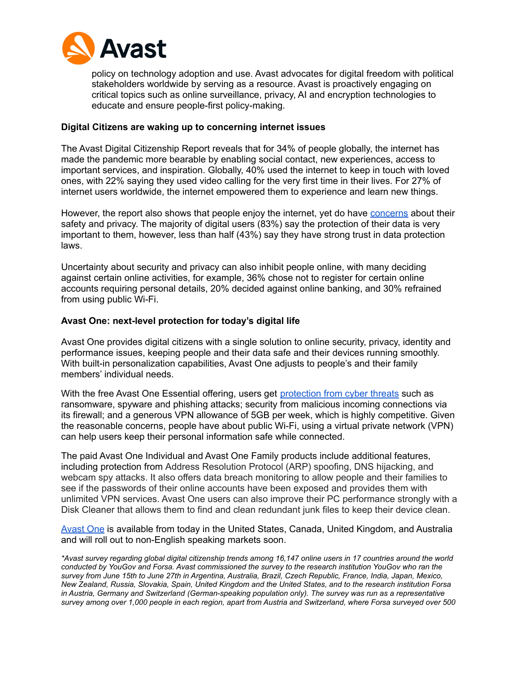

policy on technology adoption and use. Avast advocates for digital freedom with political stakeholders worldwide by serving as a resource. Avast is proactively engaging on critical topics such as online surveillance, privacy, AI and encryption technologies to educate and ensure people-first policy-making.

#### **Digital Citizens are waking up to concerning internet issues**

The Avast Digital Citizenship Report reveals that for 34% of people globally, the internet has made the pandemic more bearable by enabling social contact, new experiences, access to important services, and inspiration. Globally, 40% used the internet to keep in touch with loved ones, with 22% saying they used video calling for the very first time in their lives. For 27% of internet users worldwide, the internet empowered them to experience and learn new things.

However, the report also shows that people enjoy the internet, yet do have [concerns](https://blog.avast.com/report-online-behavior-post-pandemic-avast) about their safety and privacy. The majority of digital users (83%) say the protection of their data is very important to them, however, less than half (43%) say they have strong trust in data protection laws.

Uncertainty about security and privacy can also inhibit people online, with many deciding against certain online activities, for example, 36% chose not to register for certain online accounts requiring personal details, 20% decided against online banking, and 30% refrained from using public Wi-Fi.

## **Avast One: next-level protection for today's digital life**

Avast One provides digital citizens with a single solution to online security, privacy, identity and performance issues, keeping people and their data safe and their devices running smoothly. With built-in personalization capabilities, Avast One adjusts to people's and their family members' individual needs.

With the free Avast One Essential offering, users get [protection](https://www.avast.com/en-us/free-antivirus-download) from cyber threats such as ransomware, spyware and phishing attacks; security from malicious incoming connections via its firewall; and a generous VPN allowance of 5GB per week, which is highly competitive. Given the reasonable concerns, people have about public Wi-Fi, using a virtual private network (VPN) can help users keep their personal information safe while connected.

The paid Avast One Individual and Avast One Family products include additional features, including protection from Address Resolution Protocol (ARP) spoofing, DNS hijacking, and webcam spy attacks. It also offers data breach monitoring to allow people and their families to see if the passwords of their online accounts have been exposed and provides them with unlimited VPN services. Avast One users can also improve their PC performance strongly with a Disk Cleaner that allows them to find and clean redundant junk files to keep their device clean.

[Avast](https://www.avast.com/en-us/avast-one) One is available from today in the United States, Canada, United Kingdom, and Australia and will roll out to non-English speaking markets soon.

*\*Avast survey regarding global digital citizenship trends among 16,147 online users in 17 countries around the world conducted by YouGov and Forsa. Avast commissioned the survey to the research institution YouGov who ran the survey from June 15th to June 27th in Argentina, Australia, Brazil, Czech Republic, France, India, Japan, Mexico, New Zealand, Russia, Slovakia, Spain, United Kingdom and the United States, and to the research institution Forsa in Austria, Germany and Switzerland (German-speaking population only). The survey was run as a representative survey among over 1,000 people in each region, apart from Austria and Switzerland, where Forsa surveyed over 500*